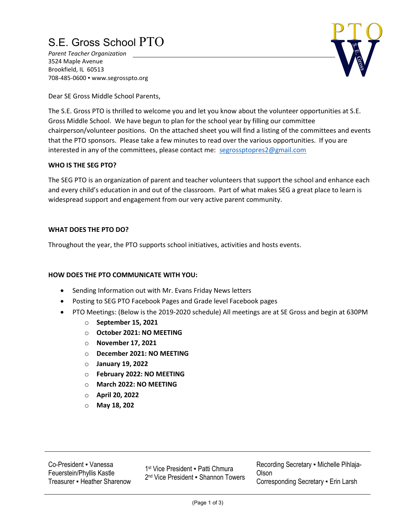## S.E. Gross School PTO

Parent Teacher Organization 3524 Maple Avenue Brookfield, IL 60513 708-485-0600 ▪ www.segrosspto.org



Dear SE Gross Middle School Parents,

The S.E. Gross PTO is thrilled to welcome you and let you know about the volunteer opportunities at S.E. Gross Middle School. We have begun to plan for the school year by filling our committee chairperson/volunteer positions. On the attached sheet you will find a listing of the committees and events that the PTO sponsors. Please take a few minutes to read over the various opportunities. If you are interested in any of the committees, please contact me: segrossptopres2@gmail.com

#### WHO IS THE SEG PTO?

The SEG PTO is an organization of parent and teacher volunteers that support the school and enhance each and every child's education in and out of the classroom. Part of what makes SEG a great place to learn is widespread support and engagement from our very active parent community.

#### WHAT DOES THE PTO DO?

Throughout the year, the PTO supports school initiatives, activities and hosts events.

#### HOW DOES THE PTO COMMUNICATE WITH YOU:

- Sending Information out with Mr. Evans Friday News letters
- Posting to SEG PTO Facebook Pages and Grade level Facebook pages
- PTO Meetings: (Below is the 2019-2020 schedule) All meetings are at SE Gross and begin at 630PM
	- o September 15, 2021
	- o October 2021: NO MEETING
	- o November 17, 2021
	- o December 2021: NO MEETING
	- o January 19, 2022
	- o February 2022: NO MEETING
	- o March 2022: NO MEETING
	- o April 20, 2022
	- o May 18, 202

Co-President ▪ Vanessa Feuerstein/Phyllis Kastle Treasurer • Heather Sharenow

1<sup>st</sup> Vice President · Patti Chmura 2 nd Vice President ▪ Shannon Towers Recording Secretary ▪ Michelle Pihlaja-Olson Corresponding Secretary ▪ Erin Larsh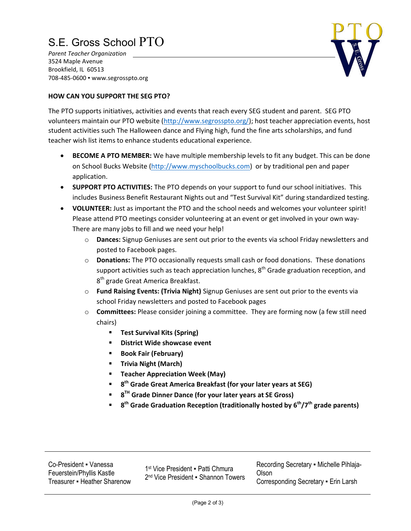# S.E. Gross School PTO

Parent Teacher Organization 3524 Maple Avenue Brookfield, IL 60513 708-485-0600 ▪ www.segrosspto.org

### HOW CAN YOU SUPPORT THE SEG PTO?

The PTO supports initiatives, activities and events that reach every SEG student and parent. SEG PTO volunteers maintain our PTO website (http://www.segrosspto.org/); host teacher appreciation events, host student activities such The Halloween dance and Flying high, fund the fine arts scholarships, and fund teacher wish list items to enhance students educational experience.

- **BECOME A PTO MEMBER:** We have multiple membership levels to fit any budget. This can be done on School Bucks Website (http://www.myschoolbucks.com) or by traditional pen and paper application.
- SUPPORT PTO ACTIVITIES: The PTO depends on your support to fund our school initiatives. This includes Business Benefit Restaurant Nights out and "Test Survival Kit" during standardized testing.
- VOLUNTE**E**R: Just as important the PTO and the school needs and welcomes your volunteer spirit! Please attend PTO meetings consider volunteering at an event or get involved in your own way-There are many jobs to fill and we need your help!
	- o Dances: Signup Geniuses are sent out prior to the events via school Friday newsletters and posted to Facebook pages.
	- $\circ$  Donations: The PTO occasionally requests small cash or food donations. These donations support activities such as teach appreciation lunches,  $8<sup>th</sup>$  Grade graduation reception, and 8<sup>th</sup> grade Great America Breakfast.
	- o Fund Raising Events: (Trivia Night) Signup Geniuses are sent out prior to the events via school Friday newsletters and posted to Facebook pages
	- $\circ$  **Committees:** Please consider joining a committee. They are forming now (a few still need chairs)
		- **Test Survival Kits (Spring)**
		- **EXECUTE:** District Wide showcase event
		- **Book Fair (February)**
		- **F** Trivia Night (March)
		- **Teacher Appreciation Week (May)**
		- $\blacksquare$  8<sup>th</sup> Grade Great America Breakfast (for your later years at SEG)
		- 8<sup>™</sup> Grade Dinner Dance (for your later years at SE Gross)
		- $\blacksquare$  8<sup>th</sup> Grade Graduation Reception (traditionally hosted by 6<sup>th</sup>/7<sup>th</sup> grade parents)

1<sup>st</sup> Vice President · Patti Chmura 2 nd Vice President ▪ Shannon Towers Recording Secretary ▪ Michelle Pihlaja-Olson Corresponding Secretary ▪ Erin Larsh